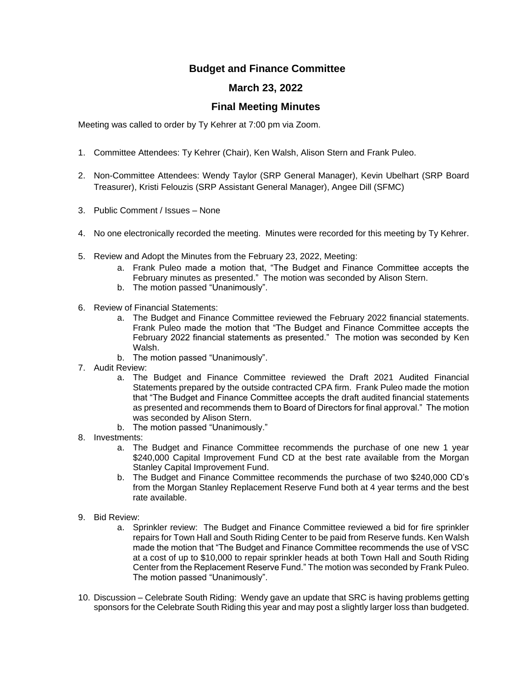## **Budget and Finance Committee**

## **March 23, 2022**

## **Final Meeting Minutes**

Meeting was called to order by Ty Kehrer at 7:00 pm via Zoom.

- 1. Committee Attendees: Ty Kehrer (Chair), Ken Walsh, Alison Stern and Frank Puleo.
- 2. Non-Committee Attendees: Wendy Taylor (SRP General Manager), Kevin Ubelhart (SRP Board Treasurer), Kristi Felouzis (SRP Assistant General Manager), Angee Dill (SFMC)
- 3. Public Comment / Issues None
- 4. No one electronically recorded the meeting. Minutes were recorded for this meeting by Ty Kehrer.
- 5. Review and Adopt the Minutes from the February 23, 2022, Meeting:
	- a. Frank Puleo made a motion that, "The Budget and Finance Committee accepts the February minutes as presented." The motion was seconded by Alison Stern.
	- b. The motion passed "Unanimously".
- 6. Review of Financial Statements:
	- a. The Budget and Finance Committee reviewed the February 2022 financial statements. Frank Puleo made the motion that "The Budget and Finance Committee accepts the February 2022 financial statements as presented." The motion was seconded by Ken Walsh.
	- b. The motion passed "Unanimously".
- 7. Audit Review:
	- a. The Budget and Finance Committee reviewed the Draft 2021 Audited Financial Statements prepared by the outside contracted CPA firm. Frank Puleo made the motion that "The Budget and Finance Committee accepts the draft audited financial statements as presented and recommends them to Board of Directors for final approval." The motion was seconded by Alison Stern.
	- b. The motion passed "Unanimously."
- 8. Investments:
	- a. The Budget and Finance Committee recommends the purchase of one new 1 year \$240,000 Capital Improvement Fund CD at the best rate available from the Morgan Stanley Capital Improvement Fund.
	- b. The Budget and Finance Committee recommends the purchase of two \$240,000 CD's from the Morgan Stanley Replacement Reserve Fund both at 4 year terms and the best rate available.
- 9. Bid Review:
	- a. Sprinkler review: The Budget and Finance Committee reviewed a bid for fire sprinkler repairs for Town Hall and South Riding Center to be paid from Reserve funds. Ken Walsh made the motion that "The Budget and Finance Committee recommends the use of VSC at a cost of up to \$10,000 to repair sprinkler heads at both Town Hall and South Riding Center from the Replacement Reserve Fund." The motion was seconded by Frank Puleo. The motion passed "Unanimously".
- 10. Discussion Celebrate South Riding: Wendy gave an update that SRC is having problems getting sponsors for the Celebrate South Riding this year and may post a slightly larger loss than budgeted.